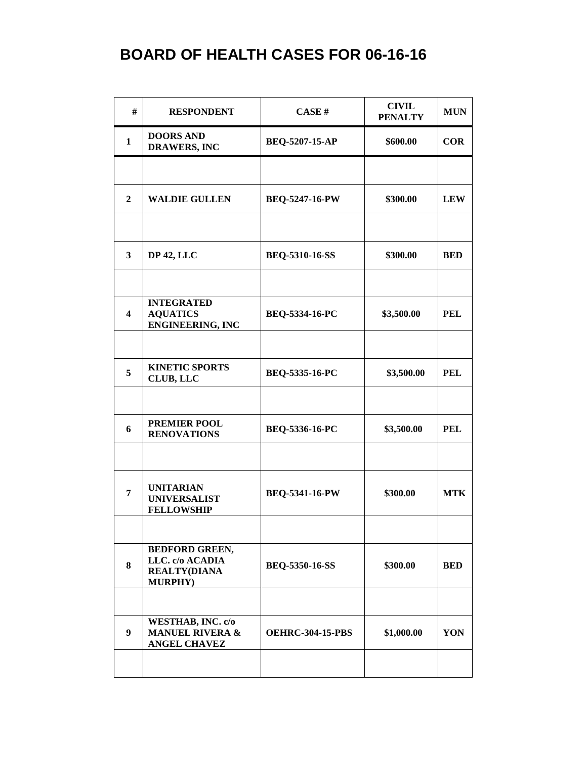| #                       | <b>RESPONDENT</b>                                                                  | CASE#                   | <b>CIVIL</b><br><b>PENALTY</b> | <b>MUN</b> |
|-------------------------|------------------------------------------------------------------------------------|-------------------------|--------------------------------|------------|
| 1                       | <b>DOORS AND</b><br><b>DRAWERS, INC</b>                                            | BEQ-5207-15-AP          | \$600.00                       | <b>COR</b> |
|                         |                                                                                    |                         |                                |            |
| $\boldsymbol{2}$        | <b>WALDIE GULLEN</b>                                                               | <b>BEQ-5247-16-PW</b>   | \$300.00                       | <b>LEW</b> |
|                         |                                                                                    |                         |                                |            |
| $\mathbf{3}$            | <b>DP 42, LLC</b>                                                                  | <b>BEQ-5310-16-SS</b>   | \$300.00                       | <b>BED</b> |
|                         |                                                                                    |                         |                                |            |
| $\overline{\mathbf{4}}$ | <b>INTEGRATED</b><br><b>AQUATICS</b><br><b>ENGINEERING, INC</b>                    | BEQ-5334-16-PC          | \$3,500.00                     | <b>PEL</b> |
|                         |                                                                                    |                         |                                |            |
| 5                       | <b>KINETIC SPORTS</b><br>CLUB, LLC                                                 | BEQ-5335-16-PC          | \$3,500.00                     | <b>PEL</b> |
|                         |                                                                                    |                         |                                |            |
| 6                       | <b>PREMIER POOL</b><br><b>RENOVATIONS</b>                                          | BEQ-5336-16-PC          | \$3,500.00                     | <b>PEL</b> |
|                         |                                                                                    |                         |                                |            |
| 7                       | <b>UNITARIAN</b><br><b>UNIVERSALIST</b><br><b>FELLOWSHIP</b>                       | <b>BEQ-5341-16-PW</b>   | \$300.00                       | <b>MTK</b> |
|                         |                                                                                    |                         |                                |            |
| 8                       | <b>BEDFORD GREEN,</b><br>LLC. c/o ACADIA<br><b>REALTY(DIANA</b><br><b>MURPHY</b> ) | <b>BEQ-5350-16-SS</b>   | \$300.00                       | <b>BED</b> |
|                         |                                                                                    |                         |                                |            |
| $\boldsymbol{9}$        | WESTHAB, INC. c/o<br><b>MANUEL RIVERA &amp;</b><br><b>ANGEL CHAVEZ</b>             | <b>OEHRC-304-15-PBS</b> | \$1,000.00                     | YON        |
|                         |                                                                                    |                         |                                |            |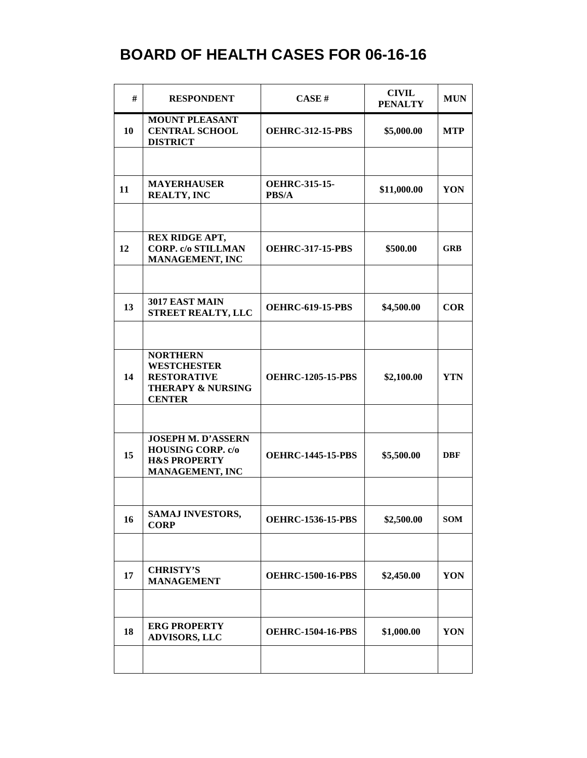| #  | <b>RESPONDENT</b>                                                                                            | <b>CASE#</b>                  | <b>CIVIL</b><br><b>PENALTY</b> | <b>MUN</b> |
|----|--------------------------------------------------------------------------------------------------------------|-------------------------------|--------------------------------|------------|
| 10 | <b>MOUNT PLEASANT</b><br><b>CENTRAL SCHOOL</b><br><b>DISTRICT</b>                                            | <b>OEHRC-312-15-PBS</b>       | \$5,000.00                     | <b>MTP</b> |
|    |                                                                                                              |                               |                                |            |
| 11 | <b>MAYERHAUSER</b><br><b>REALTY, INC</b>                                                                     | <b>OEHRC-315-15-</b><br>PBS/A | \$11,000.00                    | YON        |
|    |                                                                                                              |                               |                                |            |
| 12 | REX RIDGE APT,<br><b>CORP. c/o STILLMAN</b><br><b>MANAGEMENT, INC</b>                                        | <b>OEHRC-317-15-PBS</b>       | \$500.00                       | <b>GRB</b> |
|    |                                                                                                              |                               |                                |            |
| 13 | 3017 EAST MAIN<br><b>STREET REALTY, LLC</b>                                                                  | <b>OEHRC-619-15-PBS</b>       | \$4,500.00                     | <b>COR</b> |
|    |                                                                                                              |                               |                                |            |
| 14 | <b>NORTHERN</b><br><b>WESTCHESTER</b><br><b>RESTORATIVE</b><br><b>THERAPY &amp; NURSING</b><br><b>CENTER</b> | <b>OEHRC-1205-15-PBS</b>      | \$2,100.00                     | <b>YTN</b> |
|    |                                                                                                              |                               |                                |            |
| 15 | <b>JOSEPH M. D'ASSERN</b><br><b>HOUSING CORP. c/o</b><br><b>H&amp;S PROPERTY</b><br><b>MANAGEMENT, INC</b>   | <b>OEHRC-1445-15-PBS</b>      | \$5,500.00                     | <b>DBF</b> |
|    |                                                                                                              |                               |                                |            |
| 16 | <b>SAMAJ INVESTORS,</b><br><b>CORP</b>                                                                       | <b>OEHRC-1536-15-PBS</b>      | \$2,500.00                     | <b>SOM</b> |
|    |                                                                                                              |                               |                                |            |
| 17 | <b>CHRISTY'S</b><br><b>MANAGEMENT</b>                                                                        | <b>OEHRC-1500-16-PBS</b>      | \$2,450.00                     | YON        |
|    |                                                                                                              |                               |                                |            |
| 18 | <b>ERG PROPERTY</b><br><b>ADVISORS, LLC</b>                                                                  | <b>OEHRC-1504-16-PBS</b>      | \$1,000.00                     | YON        |
|    |                                                                                                              |                               |                                |            |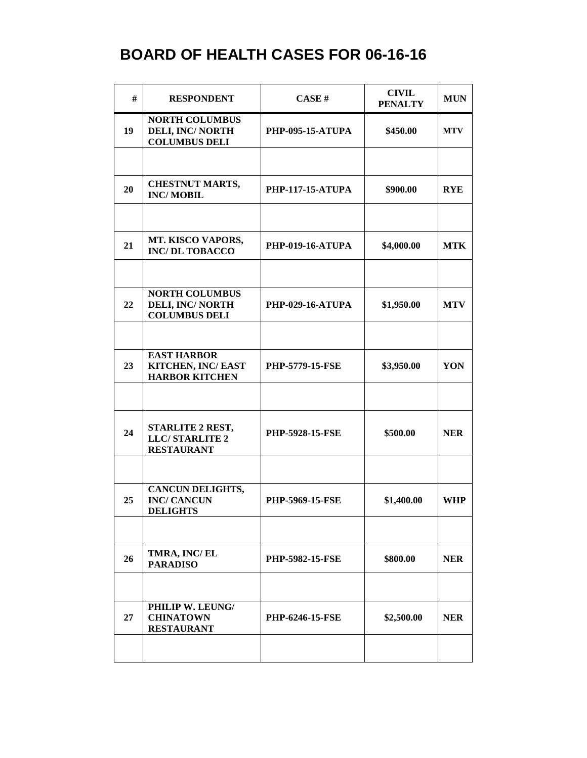| #  | <b>RESPONDENT</b>                                                        | CASE#                   | <b>CIVIL</b><br><b>PENALTY</b> | <b>MUN</b> |
|----|--------------------------------------------------------------------------|-------------------------|--------------------------------|------------|
| 19 | <b>NORTH COLUMBUS</b><br><b>DELI, INC/NORTH</b><br><b>COLUMBUS DELI</b>  | <b>PHP-095-15-ATUPA</b> | \$450.00                       | <b>MTV</b> |
|    |                                                                          |                         |                                |            |
| 20 | <b>CHESTNUT MARTS,</b><br><b>INC/MOBIL</b>                               | <b>PHP-117-15-ATUPA</b> | \$900.00                       | <b>RYE</b> |
|    |                                                                          |                         |                                |            |
| 21 | MT. KISCO VAPORS,<br><b>INC/DL TOBACCO</b>                               | <b>PHP-019-16-ATUPA</b> | \$4,000.00                     | <b>MTK</b> |
|    |                                                                          |                         |                                |            |
| 22 | <b>NORTH COLUMBUS</b><br><b>DELI, INC/ NORTH</b><br><b>COLUMBUS DELI</b> | <b>PHP-029-16-ATUPA</b> | \$1,950.00                     | <b>MTV</b> |
|    |                                                                          |                         |                                |            |
| 23 | <b>EAST HARBOR</b><br>KITCHEN, INC/ EAST<br><b>HARBOR KITCHEN</b>        | <b>PHP-5779-15-FSE</b>  | \$3,950.00                     | YON        |
|    |                                                                          |                         |                                |            |
| 24 | STARLITE 2 REST,<br><b>LLC/STARLITE 2</b><br><b>RESTAURANT</b>           | <b>PHP-5928-15-FSE</b>  | \$500.00                       | <b>NER</b> |
|    |                                                                          |                         |                                |            |
| 25 | <b>CANCUN DELIGHTS,</b><br><b>INC/ CANCUN</b><br><b>DELIGHTS</b>         | PHP-5969-15-FSE         | \$1,400.00                     | <b>WHP</b> |
|    |                                                                          |                         |                                |            |
| 26 | TMRA, INC/EL<br><b>PARADISO</b>                                          | <b>PHP-5982-15-FSE</b>  | \$800.00                       | <b>NER</b> |
|    |                                                                          |                         |                                |            |
| 27 | PHILIP W. LEUNG/<br><b>CHINATOWN</b><br><b>RESTAURANT</b>                | <b>PHP-6246-15-FSE</b>  | \$2,500.00                     | <b>NER</b> |
|    |                                                                          |                         |                                |            |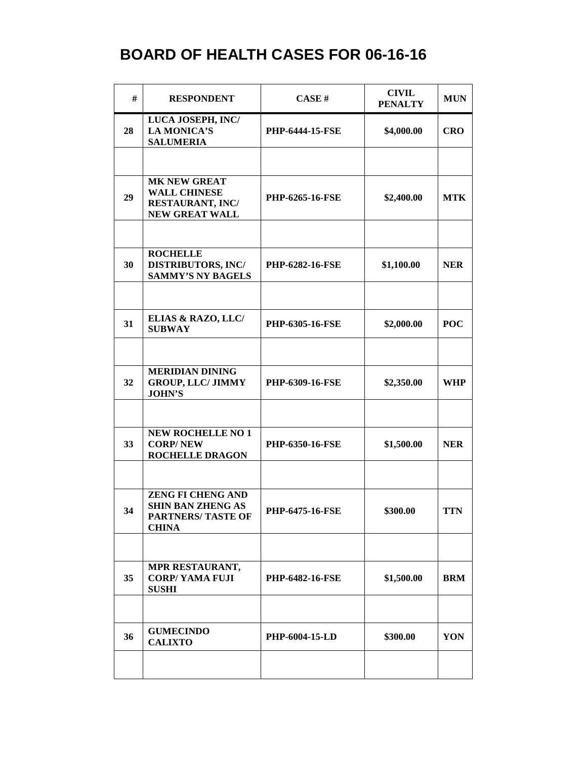| #  | <b>RESPONDENT</b>                                                                                 | CASE#                  | <b>CIVIL</b><br><b>PENALTY</b> | <b>MUN</b> |
|----|---------------------------------------------------------------------------------------------------|------------------------|--------------------------------|------------|
| 28 | LUCA JOSEPH, INC/<br><b>LA MONICA'S</b><br><b>SALUMERIA</b>                                       | <b>PHP-6444-15-FSE</b> | \$4,000.00                     | <b>CRO</b> |
|    |                                                                                                   |                        |                                |            |
| 29 | <b>MK NEW GREAT</b><br><b>WALL CHINESE</b><br><b>RESTAURANT, INC/</b><br><b>NEW GREAT WALL</b>    | <b>PHP-6265-16-FSE</b> | \$2,400.00                     | <b>MTK</b> |
|    |                                                                                                   |                        |                                |            |
| 30 | <b>ROCHELLE</b><br><b>DISTRIBUTORS, INC/</b><br><b>SAMMY'S NY BAGELS</b>                          | <b>PHP-6282-16-FSE</b> | \$1,100.00                     | <b>NER</b> |
|    |                                                                                                   |                        |                                |            |
| 31 | ELIAS & RAZO, LLC/<br><b>SUBWAY</b>                                                               | <b>PHP-6305-16-FSE</b> | \$2,000.00                     | <b>POC</b> |
|    |                                                                                                   |                        |                                |            |
| 32 | <b>MERIDIAN DINING</b><br><b>GROUP, LLC/ JIMMY</b><br><b>JOHN'S</b>                               | <b>PHP-6309-16-FSE</b> | \$2,350.00                     | <b>WHP</b> |
|    |                                                                                                   |                        |                                |            |
| 33 | <b>NEW ROCHELLE NO 1</b><br><b>CORP/NEW</b><br><b>ROCHELLE DRAGON</b>                             | <b>PHP-6350-16-FSE</b> | \$1,500.00                     | <b>NER</b> |
|    |                                                                                                   |                        |                                |            |
| 34 | <b>ZENG FI CHENG AND</b><br><b>SHIN BAN ZHENG AS</b><br><b>PARTNERS/ TASTE OF</b><br><b>CHINA</b> | <b>PHP-6475-16-FSE</b> | \$300.00                       | <b>TTN</b> |
|    |                                                                                                   |                        |                                |            |
| 35 | MPR RESTAURANT,<br><b>CORP/YAMA FUJI</b><br><b>SUSHI</b>                                          | <b>PHP-6482-16-FSE</b> | \$1,500.00                     | <b>BRM</b> |
|    |                                                                                                   |                        |                                |            |
| 36 | <b>GUMECINDO</b><br><b>CALIXTO</b>                                                                | <b>PHP-6004-15-LD</b>  | \$300.00                       | YON        |
|    |                                                                                                   |                        |                                |            |